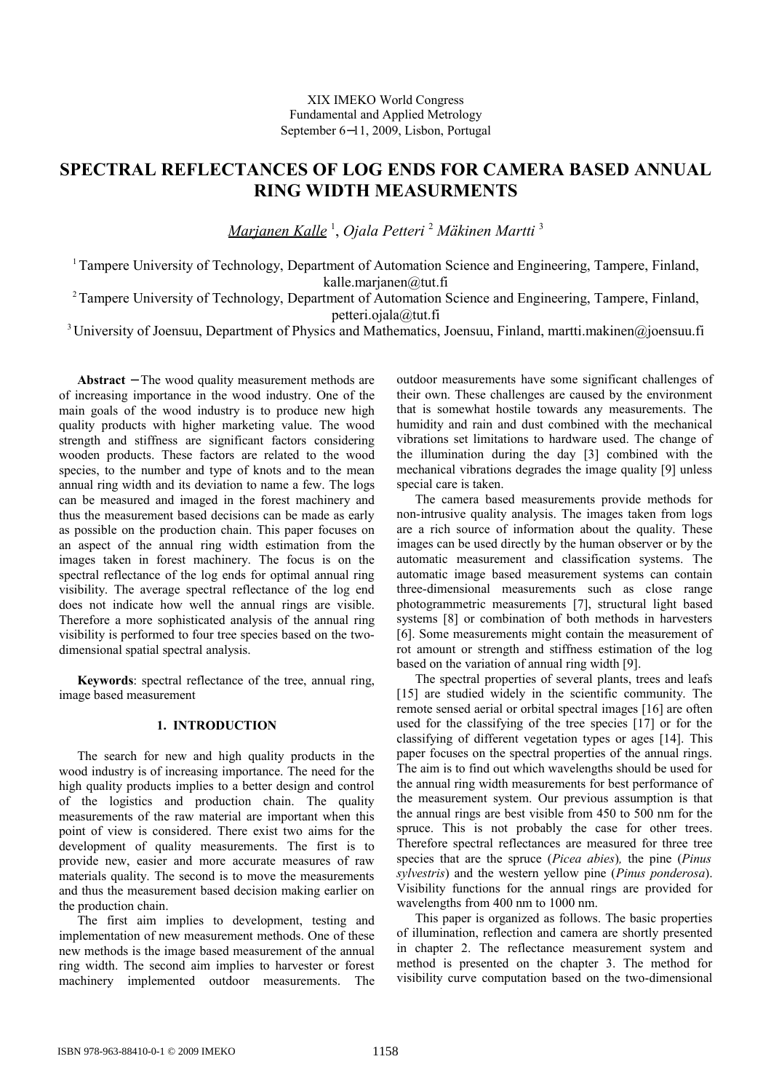# **SPECTRAL REFLECTANCES OF LOG ENDS FOR CAMERA BASED ANNUAL RING WIDTH MEASURMENTS**

*Marjanen Kalle* <sup>1</sup> , *Ojala Petteri* <sup>2</sup> *Mäkinen Martti* <sup>3</sup>

<sup>1</sup>Tampere University of Technology, Department of Automation Science and Engineering, Tampere, Finland, kalle.marjanen@tut.fi

<sup>2</sup>Tampere University of Technology, Department of Automation Science and Engineering, Tampere, Finland,

petteri.ojala@tut.fi

<sup>3</sup>University of Joensuu, Department of Physics and Mathematics, Joensuu, Finland, martti.makinen@joensuu.fi

**Abstract** − The wood quality measurement methods are of increasing importance in the wood industry. One of the main goals of the wood industry is to produce new high quality products with higher marketing value. The wood strength and stiffness are significant factors considering wooden products. These factors are related to the wood species, to the number and type of knots and to the mean annual ring width and its deviation to name a few. The logs can be measured and imaged in the forest machinery and thus the measurement based decisions can be made as early as possible on the production chain. This paper focuses on an aspect of the annual ring width estimation from the images taken in forest machinery. The focus is on the spectral reflectance of the log ends for optimal annual ring visibility. The average spectral reflectance of the log end does not indicate how well the annual rings are visible. Therefore a more sophisticated analysis of the annual ring visibility is performed to four tree species based on the twodimensional spatial spectral analysis.

**Keywords**: spectral reflectance of the tree, annual ring, image based measurement

# **1. INTRODUCTION**

The search for new and high quality products in the wood industry is of increasing importance. The need for the high quality products implies to a better design and control of the logistics and production chain. The quality measurements of the raw material are important when this point of view is considered. There exist two aims for the development of quality measurements. The first is to provide new, easier and more accurate measures of raw materials quality. The second is to move the measurements and thus the measurement based decision making earlier on the production chain.

The first aim implies to development, testing and implementation of new measurement methods. One of these new methods is the image based measurement of the annual ring width. The second aim implies to harvester or forest machinery implemented outdoor measurements. The outdoor measurements have some significant challenges of their own. These challenges are caused by the environment that is somewhat hostile towards any measurements. The humidity and rain and dust combined with the mechanical vibrations set limitations to hardware used. The change of the illumination during the day [3] combined with the mechanical vibrations degrades the image quality [9] unless special care is taken.

The camera based measurements provide methods for non-intrusive quality analysis. The images taken from logs are a rich source of information about the quality. These images can be used directly by the human observer or by the automatic measurement and classification systems. The automatic image based measurement systems can contain three-dimensional measurements such as close range photogrammetric measurements [7], structural light based systems [8] or combination of both methods in harvesters [6]. Some measurements might contain the measurement of rot amount or strength and stiffness estimation of the log based on the variation of annual ring width [9].

The spectral properties of several plants, trees and leafs [15] are studied widely in the scientific community. The remote sensed aerial or orbital spectral images [16] are often used for the classifying of the tree species [17] or for the classifying of different vegetation types or ages [14]. This paper focuses on the spectral properties of the annual rings. The aim is to find out which wavelengths should be used for the annual ring width measurements for best performance of the measurement system. Our previous assumption is that the annual rings are best visible from 450 to 500 nm for the spruce. This is not probably the case for other trees. Therefore spectral reflectances are measured for three tree species that are the spruce (*Picea abies*)*,* the pine (*Pinus sylvestris*) and the western yellow pine (*Pinus ponderosa*). Visibility functions for the annual rings are provided for wavelengths from 400 nm to 1000 nm.

This paper is organized as follows. The basic properties of illumination, reflection and camera are shortly presented in chapter 2. The reflectance measurement system and method is presented on the chapter 3. The method for visibility curve computation based on the two-dimensional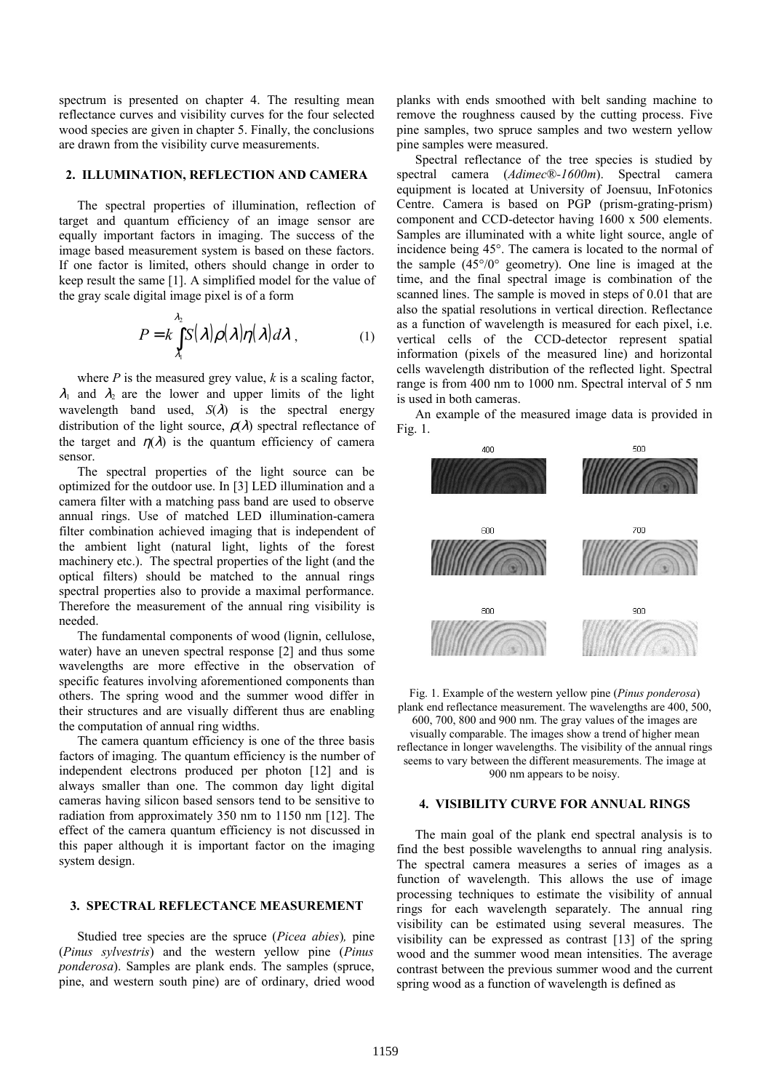spectrum is presented on chapter 4. The resulting mean reflectance curves and visibility curves for the four selected wood species are given in chapter 5. Finally, the conclusions are drawn from the visibility curve measurements.

## **2. ILLUMINATION, REFLECTION AND CAMERA**

The spectral properties of illumination, reflection of target and quantum efficiency of an image sensor are equally important factors in imaging. The success of the image based measurement system is based on these factors. If one factor is limited, others should change in order to keep result the same [1]. A simplified model for the value of the gray scale digital image pixel is of a form

$$
P = k \int_{\lambda_1}^{\lambda_2} S(\lambda) \rho(\lambda) \eta(\lambda) d\lambda , \qquad (1)
$$

where *P* is the measured grey value, *k* is a scaling factor,  $\lambda_1$  and  $\lambda_2$  are the lower and upper limits of the light wavelength band used,  $S(\lambda)$  is the spectral energy distribution of the light source,  $\rho(\lambda)$  spectral reflectance of the target and  $\eta(\lambda)$  is the quantum efficiency of camera sensor.

The spectral properties of the light source can be optimized for the outdoor use. In [3] LED illumination and a camera filter with a matching pass band are used to observe annual rings. Use of matched LED illumination-camera filter combination achieved imaging that is independent of the ambient light (natural light, lights of the forest machinery etc.). The spectral properties of the light (and the optical filters) should be matched to the annual rings spectral properties also to provide a maximal performance. Therefore the measurement of the annual ring visibility is needed.

The fundamental components of wood (lignin, cellulose, water) have an uneven spectral response [2] and thus some wavelengths are more effective in the observation of specific features involving aforementioned components than others. The spring wood and the summer wood differ in their structures and are visually different thus are enabling the computation of annual ring widths.

The camera quantum efficiency is one of the three basis factors of imaging. The quantum efficiency is the number of independent electrons produced per photon [12] and is always smaller than one. The common day light digital cameras having silicon based sensors tend to be sensitive to radiation from approximately 350 nm to 1150 nm [12]. The effect of the camera quantum efficiency is not discussed in this paper although it is important factor on the imaging system design.

# **3. SPECTRAL REFLECTANCE MEASUREMENT**

Studied tree species are the spruce (*Picea abies*)*,* pine (*Pinus sylvestris*) and the western yellow pine (*Pinus ponderosa*). Samples are plank ends. The samples (spruce, pine, and western south pine) are of ordinary, dried wood planks with ends smoothed with belt sanding machine to remove the roughness caused by the cutting process. Five pine samples, two spruce samples and two western yellow pine samples were measured.

Spectral reflectance of the tree species is studied by spectral camera (*Adimec*®*-1600m*). Spectral camera equipment is located at University of Joensuu, InFotonics Centre. Camera is based on PGP (prism-grating-prism) component and CCD-detector having 1600 x 500 elements. Samples are illuminated with a white light source, angle of incidence being 45°. The camera is located to the normal of the sample (45°/0° geometry). One line is imaged at the time, and the final spectral image is combination of the scanned lines. The sample is moved in steps of 0.01 that are also the spatial resolutions in vertical direction. Reflectance as a function of wavelength is measured for each pixel, i.e. vertical cells of the CCD-detector represent spatial information (pixels of the measured line) and horizontal cells wavelength distribution of the reflected light. Spectral range is from 400 nm to 1000 nm. Spectral interval of 5 nm is used in both cameras.

An example of the measured image data is provided in Fig. 1.



Fig. 1. Example of the western yellow pine (*Pinus ponderosa*) plank end reflectance measurement. The wavelengths are 400, 500, 600, 700, 800 and 900 nm. The gray values of the images are visually comparable. The images show a trend of higher mean reflectance in longer wavelengths. The visibility of the annual rings seems to vary between the different measurements. The image at

900 nm appears to be noisy.

# **4. VISIBILITY CURVE FOR ANNUAL RINGS**

The main goal of the plank end spectral analysis is to find the best possible wavelengths to annual ring analysis. The spectral camera measures a series of images as a function of wavelength. This allows the use of image processing techniques to estimate the visibility of annual rings for each wavelength separately. The annual ring visibility can be estimated using several measures. The visibility can be expressed as contrast [13] of the spring wood and the summer wood mean intensities. The average contrast between the previous summer wood and the current spring wood as a function of wavelength is defined as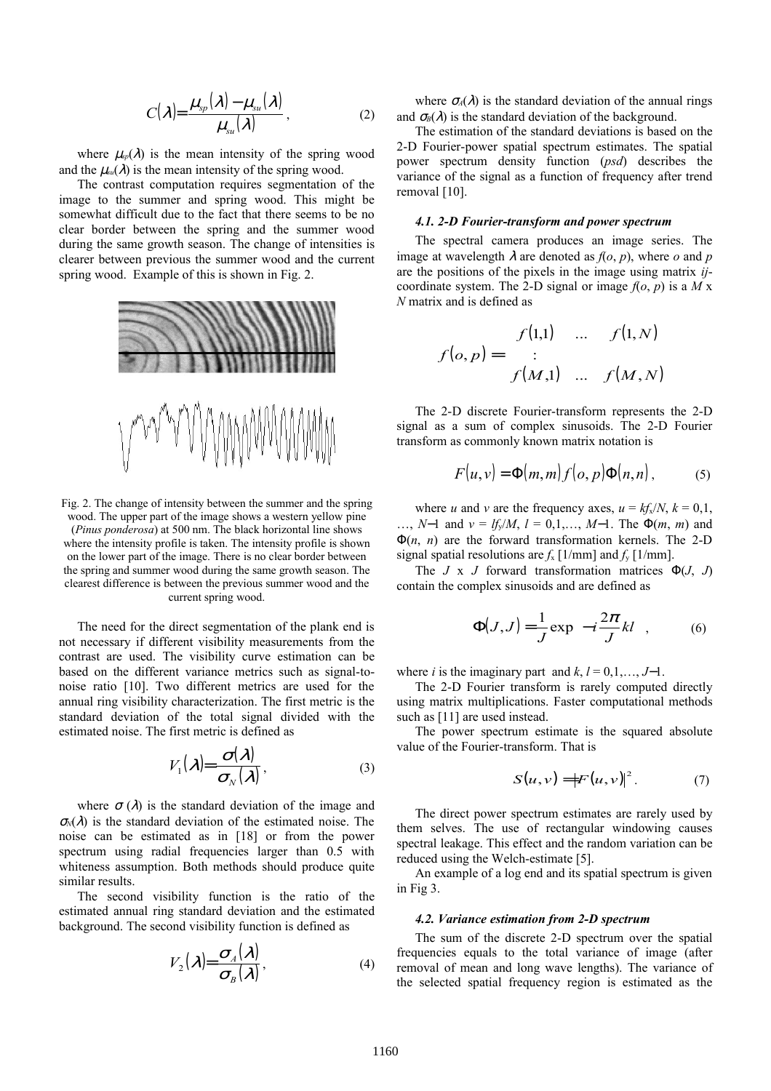$$
C(\lambda) = \frac{\mu_{sp}(\lambda) - \mu_{su}(\lambda)}{\mu_{su}(\lambda)},
$$
\n(2)

where  $\mu_{sp}(\lambda)$  is the mean intensity of the spring wood and the  $\mu_{su}(\lambda)$  is the mean intensity of the spring wood.

The contrast computation requires segmentation of the image to the summer and spring wood. This might be somewhat difficult due to the fact that there seems to be no clear border between the spring and the summer wood during the same growth season. The change of intensities is clearer between previous the summer wood and the current spring wood. Example of this is shown in Fig. 2.



Fig. 2. The change of intensity between the summer and the spring wood. The upper part of the image shows a western yellow pine (*Pinus ponderosa*) at 500 nm. The black horizontal line shows where the intensity profile is taken. The intensity profile is shown on the lower part of the image. There is no clear border between the spring and summer wood during the same growth season. The clearest difference is between the previous summer wood and the current spring wood.

The need for the direct segmentation of the plank end is not necessary if different visibility measurements from the contrast are used. The visibility curve estimation can be based on the different variance metrics such as signal-tonoise ratio [10]. Two different metrics are used for the annual ring visibility characterization. The first metric is the standard deviation of the total signal divided with the estimated noise. The first metric is defined as

$$
V_1(\lambda) = \frac{\sigma(\lambda)}{\sigma_N(\lambda)},
$$
\n(3)

where  $\sigma(\lambda)$  is the standard deviation of the image and  $\sigma_{\text{M}}(\lambda)$  is the standard deviation of the estimated noise. The noise can be estimated as in [18] or from the power spectrum using radial frequencies larger than 0.5 with whiteness assumption. Both methods should produce quite similar results.

The second visibility function is the ratio of the estimated annual ring standard deviation and the estimated background. The second visibility function is defined as

$$
V_2(\lambda) = \frac{\sigma_A(\lambda)}{\sigma_B(\lambda)},
$$
\n(4)

where  $\sigma_A(\lambda)$  is the standard deviation of the annual rings and  $\sigma_B(\lambda)$  is the standard deviation of the background.

The estimation of the standard deviations is based on the 2-D Fourier-power spatial spectrum estimates. The spatial power spectrum density function (*psd*) describes the variance of the signal as a function of frequency after trend removal [10].

### *4.1. 2-D Fourier-transform and power spectrum*

The spectral camera produces an image series. The image at wavelength  $\lambda$  are denoted as  $f(o, p)$ , where *o* and *p* are the positions of the pixels in the image using matrix *ij*coordinate system. The 2-D signal or image  $f(o, p)$  is a *M* x *N* matrix and is defined as

$$
f(o, p) = \begin{bmatrix} f(1,1) & \dots & f(1,N) \\ \vdots & & \\ f(M,1) & \dots & f(M,N) \end{bmatrix}
$$

The 2-D discrete Fourier-transform represents the 2-D signal as a sum of complex sinusoids. The 2-D Fourier transform as commonly known matrix notation is

$$
F(u, v) = \Phi(m, m) f(o, p)\Phi(n, n), \qquad (5)
$$

where *u* and *v* are the frequency axes,  $u = kf_x/N$ ,  $k = 0,1$ , …, *N*−1 and *v* = *lf*y/*M*, *l* = 0,1,…, *M*−1. The Φ(*m*, *m*) and Φ(*n*, *n*) are the forward transformation kernels. The 2-D signal spatial resolutions are  $f_x$  [1/mm] and  $f_y$  [1/mm].

The *J* x *J* forward transformation matrices Φ(*J*, *J*) contain the complex sinusoids and are defined as

$$
\Phi(J,J) = \frac{1}{J} \exp\left(-i\frac{2\pi}{J}kl\right),\tag{6}
$$

where *i* is the imaginary part and  $k, l = 0, 1, \ldots, J-1$ .

The 2-D Fourier transform is rarely computed directly using matrix multiplications. Faster computational methods such as [11] are used instead.

The power spectrum estimate is the squared absolute value of the Fourier-transform. That is

$$
S(u,v) = |F(u,v)|^{2}.
$$
 (7)

The direct power spectrum estimates are rarely used by them selves. The use of rectangular windowing causes spectral leakage. This effect and the random variation can be reduced using the Welch-estimate [5].

An example of a log end and its spatial spectrum is given in Fig 3.

#### *4.2. Variance estimation from 2-D spectrum*

The sum of the discrete 2-D spectrum over the spatial frequencies equals to the total variance of image (after removal of mean and long wave lengths). The variance of the selected spatial frequency region is estimated as the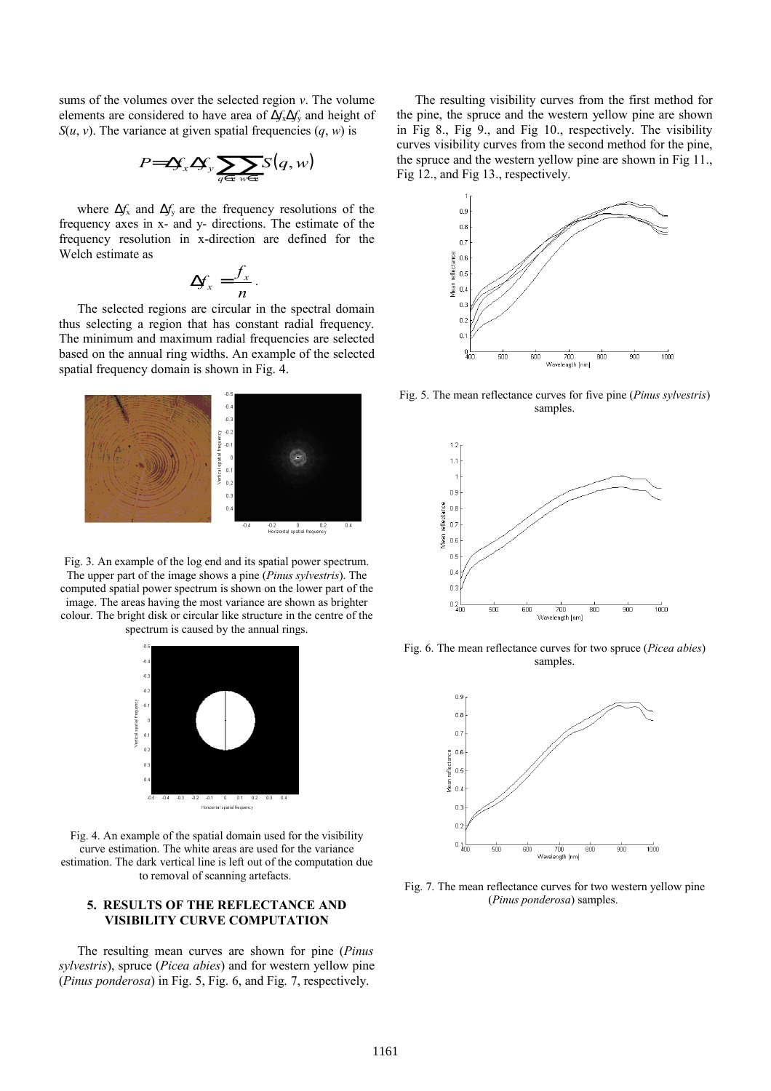sums of the volumes over the selected region *v*. The volume elements are considered to have area of ∆*f*x∆*f*y and height of *S*( $u$ ,  $v$ ). The variance at given spatial frequencies  $(q, w)$  is

$$
P = \Delta f_x \Delta f_y \sum_{q \in v \text{ weV}} S(q, w)
$$

where  $\Delta f$ <sub>x</sub> and  $\Delta f$ <sub>y</sub> are the frequency resolutions of the frequency axes in x- and y- directions. The estimate of the frequency resolution in x-direction are defined for the Welch estimate as

$$
\Delta f_x = \frac{f_x}{n}.
$$

The selected regions are circular in the spectral domain thus selecting a region that has constant radial frequency. The minimum and maximum radial frequencies are selected based on the annual ring widths. An example of the selected spatial frequency domain is shown in Fig. 4.



Fig. 3. An example of the log end and its spatial power spectrum. The upper part of the image shows a pine (*Pinus sylvestris*). The computed spatial power spectrum is shown on the lower part of the image. The areas having the most variance are shown as brighter colour. The bright disk or circular like structure in the centre of the spectrum is caused by the annual rings.



Fig. 4. An example of the spatial domain used for the visibility curve estimation. The white areas are used for the variance estimation. The dark vertical line is left out of the computation due to removal of scanning artefacts.

# **5. RESULTS OF THE REFLECTANCE AND VISIBILITY CURVE COMPUTATION**

The resulting mean curves are shown for pine (*Pinus sylvestris*), spruce (*Picea abies*) and for western yellow pine (*Pinus ponderosa*) in Fig. 5, Fig. 6, and Fig. 7, respectively.

The resulting visibility curves from the first method for the pine, the spruce and the western yellow pine are shown in Fig 8., Fig 9., and Fig 10., respectively. The visibility curves visibility curves from the second method for the pine, the spruce and the western yellow pine are shown in Fig 11., Fig 12., and Fig 13., respectively.



Fig. 5. The mean reflectance curves for five pine (*Pinus sylvestris*) samples.



Fig. 6. The mean reflectance curves for two spruce (*Picea abies*) samples.



Fig. 7. The mean reflectance curves for two western yellow pine (*Pinus ponderosa*) samples.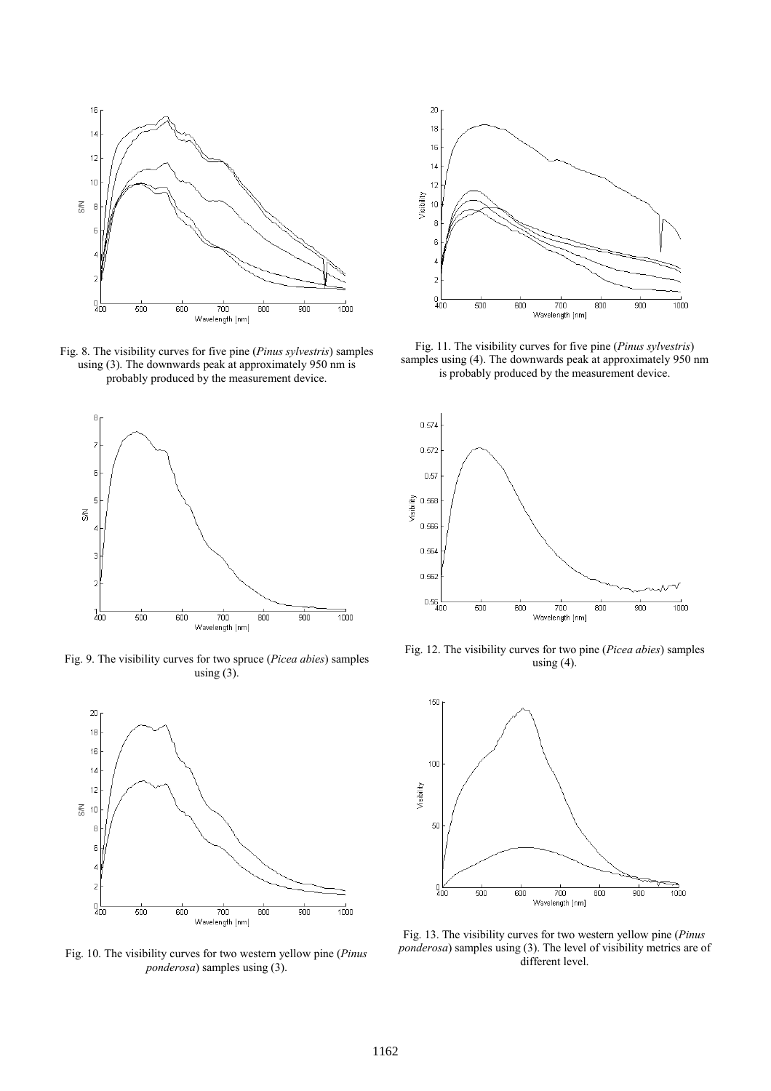

Fig. 8. The visibility curves for five pine (*Pinus sylvestris*) samples using (3). The downwards peak at approximately 950 nm is probably produced by the measurement device.



Fig. 9. The visibility curves for two spruce (*Picea abies*) samples using  $(3)$ .



Fig. 10. The visibility curves for two western yellow pine (*Pinus ponderosa*) samples using (3).



Fig. 11. The visibility curves for five pine (*Pinus sylvestris*) samples using (4). The downwards peak at approximately 950 nm is probably produced by the measurement device.



Fig. 12. The visibility curves for two pine (*Picea abies*) samples using  $(4)$ .



Fig. 13. The visibility curves for two western yellow pine (*Pinus ponderosa*) samples using (3). The level of visibility metrics are of different level.